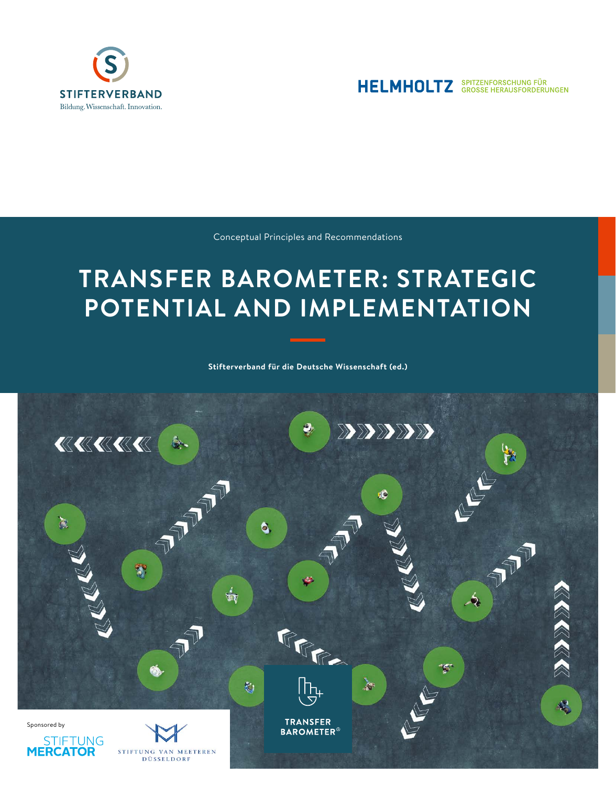



Conceptual Principles and Recommendations

## **TRANSFER BAROMETER: STRATEGIC POTENTIAL AND IMPLEMENTATION**

**Stifterverband für die Deutsche Wissenschaft (ed.)**

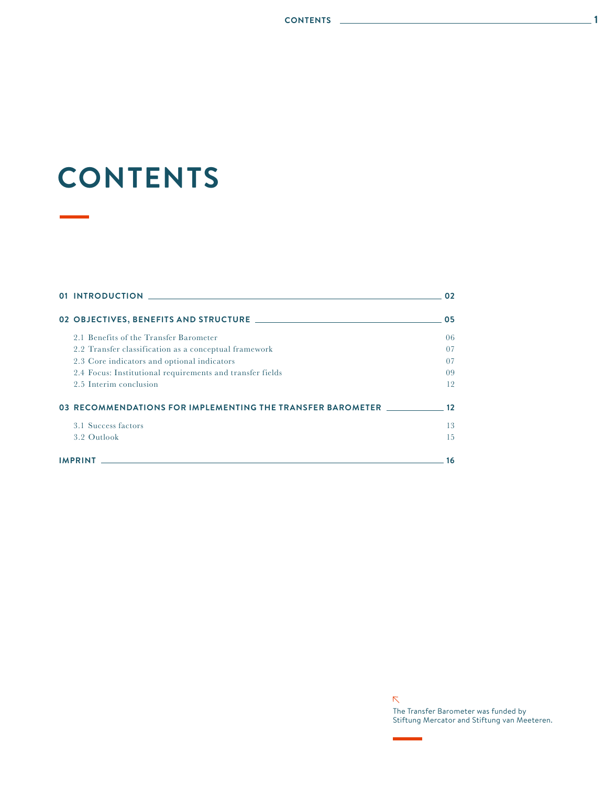## **CONTENTS**

|                                                                                                                                    | 01 INTRODUCTION AND RESERVE TO A RESERVE THE RESERVE TO A RESERVE THE RESERVE TO A RESERVE THE RESERVE TO A RE | 02 |  |  |
|------------------------------------------------------------------------------------------------------------------------------------|----------------------------------------------------------------------------------------------------------------|----|--|--|
|                                                                                                                                    |                                                                                                                | 05 |  |  |
|                                                                                                                                    | 2.1 Benefits of the Transfer Barometer                                                                         | 06 |  |  |
|                                                                                                                                    | 2.2 Transfer classification as a conceptual framework                                                          | 07 |  |  |
|                                                                                                                                    | 2.3 Core indicators and optional indicators                                                                    | 07 |  |  |
|                                                                                                                                    | 2.4 Focus: Institutional requirements and transfer fields                                                      | 09 |  |  |
|                                                                                                                                    | 2.5 Interim conclusion                                                                                         | 12 |  |  |
|                                                                                                                                    | 03 RECOMMENDATIONS FOR IMPLEMENTING THE TRANSFER BAROMETER                                                     |    |  |  |
|                                                                                                                                    | 3.1 Success factors                                                                                            | 13 |  |  |
|                                                                                                                                    | 3.2 Outlook                                                                                                    | 15 |  |  |
| <b>IMPRINT</b><br>and the control of the control of the control of the control of the control of the control of the control of the |                                                                                                                |    |  |  |

 $\bar{\nabla}$ The Transfer Barometer was funded by Stiftung Mercator and Stiftung van Meeteren.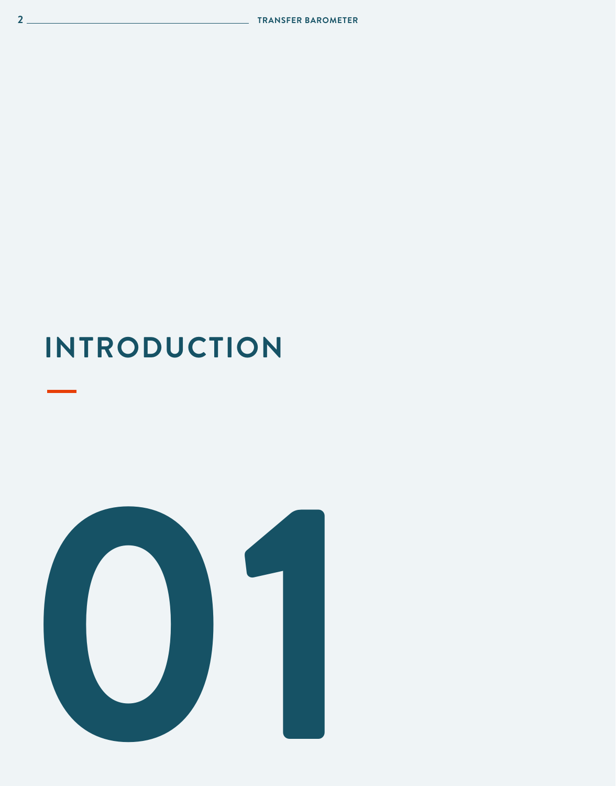# **INTRODUCTION**

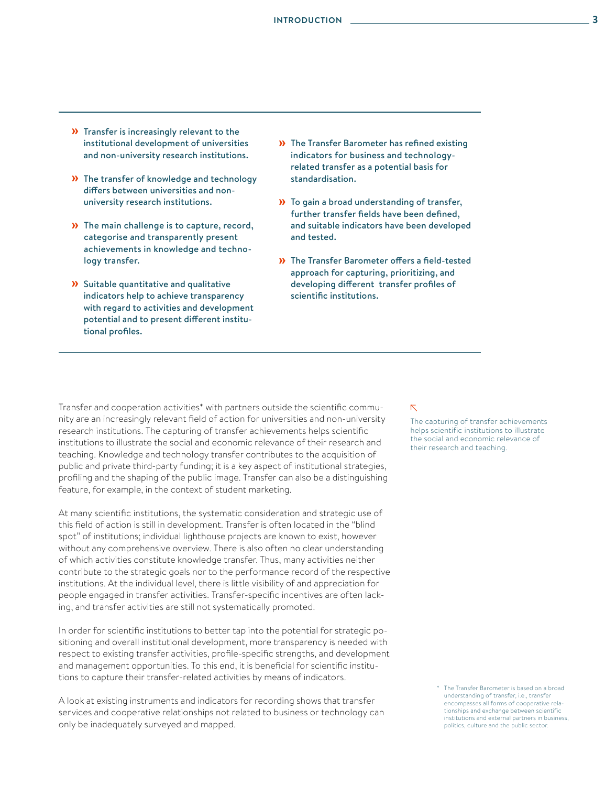- » Transfer is increasingly relevant to the institutional development of universities and non-university research institutions.
- » The transfer of knowledge and technology differs between universities and nonuniversity research institutions.
- » The main challenge is to capture, record, categorise and transparently present achievements in knowledge and technology transfer.
- » Suitable quantitative and qualitative indicators help to achieve transparency with regard to activities and development potential and to present different institutional profiles.
- » The Transfer Barometer has refined existing indicators for business and technologyrelated transfer as a potential basis for standardisation.
- » To gain a broad understanding of transfer, further transfer fields have been defined, and suitable indicators have been developed and tested.
- » The Transfer Barometer offers a field-tested approach for capturing, prioritizing, and developing different transfer profiles of scientific institutions.

Transfer and cooperation activities\* with partners outside the scientific community are an increasingly relevant field of action for universities and non-university research institutions. The capturing of transfer achievements helps scientific institutions to illustrate the social and economic relevance of their research and teaching. Knowledge and technology transfer contributes to the acquisition of public and private third-party funding; it is a key aspect of institutional strategies, profiling and the shaping of the public image. Transfer can also be a distinguishing feature, for example, in the context of student marketing.

At many scientific institutions, the systematic consideration and strategic use of this field of action is still in development. Transfer is often located in the "blind spot" of institutions; individual lighthouse projects are known to exist, however without any comprehensive overview. There is also often no clear understanding of which activities constitute knowledge transfer. Thus, many activities neither contribute to the strategic goals nor to the performance record of the respective institutions. At the individual level, there is little visibility of and appreciation for people engaged in transfer activities. Transfer-specific incentives are often lacking, and transfer activities are still not systematically promoted.

In order for scientific institutions to better tap into the potential for strategic positioning and overall institutional development, more transparency is needed with respect to existing transfer activities, profile-specific strengths, and development and management opportunities. To this end, it is beneficial for scientific institutions to capture their transfer-related activities by means of indicators.

A look at existing instruments and indicators for recording shows that transfer services and cooperative relationships not related to business or technology can only be inadequately surveyed and mapped.

#### $\bar{\mathcal{N}}$

The capturing of transfer achievements helps scientific institutions to illustrate the social and economic relevance of their research and teaching.

> \* The Transfer Barometer is based on a broad understanding of transfer, i.e., transfer encompasses all forms of cooperative relationships and exchange between scientific institutions and external partners in business, politics, culture and the public sector.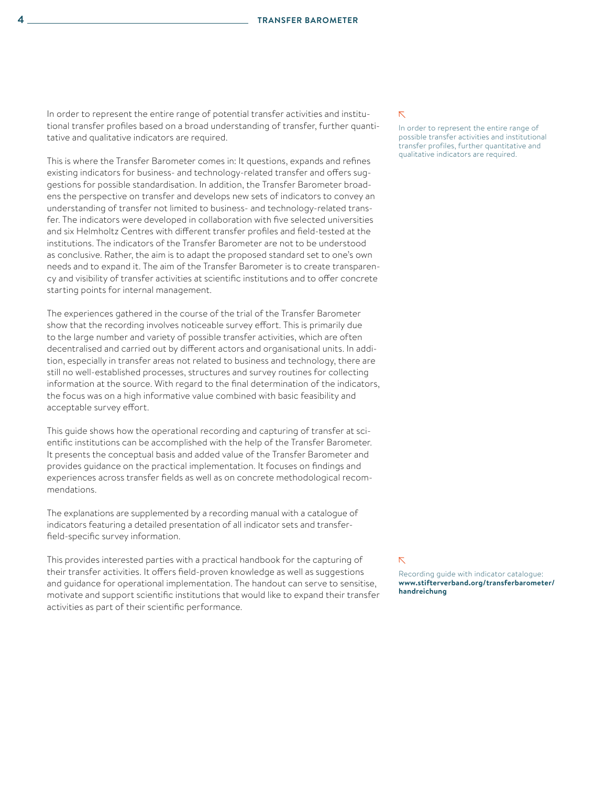In order to represent the entire range of potential transfer activities and institutional transfer profiles based on a broad understanding of transfer, further quantitative and qualitative indicators are required.

This is where the Transfer Barometer comes in: It questions, expands and refines existing indicators for business- and technology-related transfer and offers suggestions for possible standardisation. In addition, the Transfer Barometer broadens the perspective on transfer and develops new sets of indicators to convey an understanding of transfer not limited to business- and technology-related transfer. The indicators were developed in collaboration with five selected universities and six Helmholtz Centres with different transfer profiles and field-tested at the institutions. The indicators of the Transfer Barometer are not to be understood as conclusive. Rather, the aim is to adapt the proposed standard set to one's own needs and to expand it. The aim of the Transfer Barometer is to create transparency and visibility of transfer activities at scientific institutions and to offer concrete starting points for internal management.

The experiences gathered in the course of the trial of the Transfer Barometer show that the recording involves noticeable survey effort. This is primarily due to the large number and variety of possible transfer activities, which are often decentralised and carried out by different actors and organisational units. In addition, especially in transfer areas not related to business and technology, there are still no well-established processes, structures and survey routines for collecting information at the source. With regard to the final determination of the indicators, the focus was on a high informative value combined with basic feasibility and acceptable survey effort.

This guide shows how the operational recording and capturing of transfer at scientific institutions can be accomplished with the help of the Transfer Barometer. It presents the conceptual basis and added value of the Transfer Barometer and provides guidance on the practical implementation. It focuses on findings and experiences across transfer fields as well as on concrete methodological recommendations.

The explanations are supplemented by a recording manual with a catalogue of indicators featuring a detailed presentation of all indicator sets and transferfield-specific survey information.

This provides interested parties with a practical handbook for the capturing of their transfer activities. It offers field-proven knowledge as well as suggestions and guidance for operational implementation. The handout can serve to sensitise, motivate and support scientific institutions that would like to expand their transfer activities as part of their scientific performance.

#### $\bar{\nabla}$

In order to represent the entire range of possible transfer activities and institutional transfer profiles, further quantitative and qualitative indicators are required.

#### $\bar{\nabla}$

Recording guide with indicator catalogue: **[www.stifterverband.org/transferbarometer/](http://www.stifterverband.org/transferbarometer/handreichung) [handreichung](http://www.stifterverband.org/transferbarometer/handreichung)**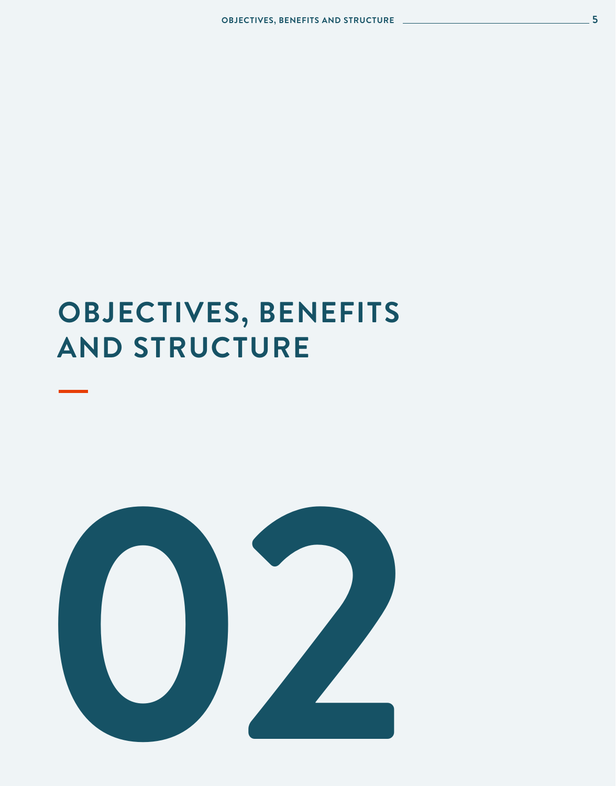## **OBJECTIVES, BENEFITS AND STRUCTURE**

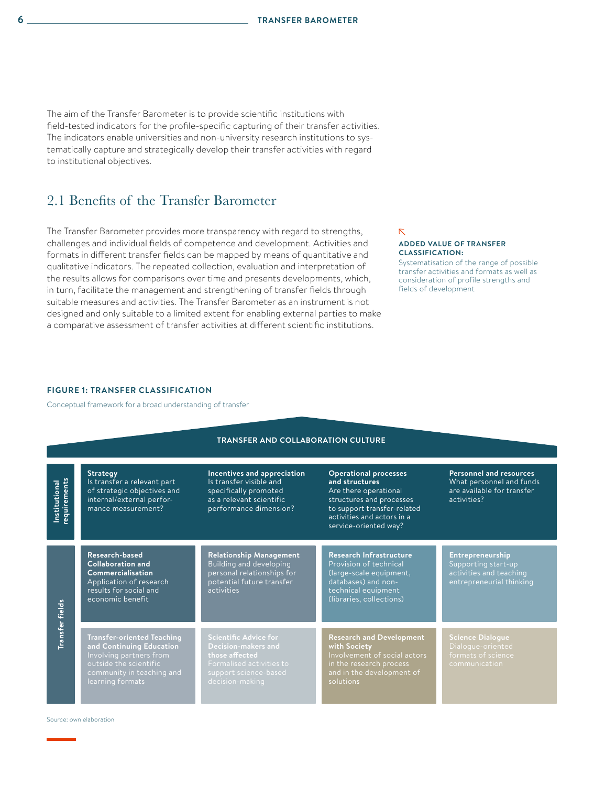The aim of the Transfer Barometer is to provide scientific institutions with field-tested indicators for the profile-specific capturing of their transfer activities. The indicators enable universities and non-university research institutions to systematically capture and strategically develop their transfer activities with regard to institutional objectives.

## 2.1 Benefits of the Transfer Barometer

The Transfer Barometer provides more transparency with regard to strengths, challenges and individual fields of competence and development. Activities and formats in different transfer fields can be mapped by means of quantitative and qualitative indicators. The repeated collection, evaluation and interpretation of the results allows for comparisons over time and presents developments, which, in turn, facilitate the management and strengthening of transfer fields through suitable measures and activities. The Transfer Barometer as an instrument is not designed and only suitable to a limited extent for enabling external parties to make a comparative assessment of transfer activities at different scientific institutions.

#### $\overline{\nabla}$

#### **ADDED VALUE OF TRANSFER CLASSIFICATION:**

Systematisation of the range of possible transfer activities and formats as well as consideration of profile strengths and fields of development

#### **FIGURE 1: TRANSFER CLASSIFICATION**

Conceptual framework for a broad understanding of transfer

| <b>TRANSFER AND COLLABORATION CULTURE</b> |                                                                                                                                                                     |                                                                                                                                               |                                                                                                                                                                                           |                                                                                                         |  |
|-------------------------------------------|---------------------------------------------------------------------------------------------------------------------------------------------------------------------|-----------------------------------------------------------------------------------------------------------------------------------------------|-------------------------------------------------------------------------------------------------------------------------------------------------------------------------------------------|---------------------------------------------------------------------------------------------------------|--|
| equirements<br>Institutional              | <b>Strategy</b><br>Is transfer a relevant part<br>of strategic objectives and<br>internal/external perfor-<br>mance measurement?                                    | Incentives and appreciation<br>Is transfer visible and<br>specifically promoted<br>as a relevant scientific<br>performance dimension?         | <b>Operational processes</b><br>and structures<br>Are there operational<br>structures and processes<br>to support transfer-related<br>activities and actors in a<br>service-oriented way? | <b>Personnel and resources</b><br>What personnel and funds<br>are available for transfer<br>activities? |  |
|                                           | Research-based<br><b>Collaboration and</b><br>Commercialisation<br>Application of research<br>results for social and<br>economic benefit                            | <b>Relationship Management</b><br>Building and developing<br>personal relationships for<br>potential future transfer<br>activities            | <b>Research Infrastructure</b><br>Provision of technical<br>(large-scale equipment,<br>databases) and non-<br>technical equipment<br>(libraries, collections)                             | Entrepreneurship<br>Supporting start-up<br>activities and teaching<br>entrepreneurial thinking          |  |
| <b>Transfer</b> fields                    | <b>Transfer-oriented Teaching</b><br>and Continuing Education<br>Involving partners from<br>outside the scientific<br>community in teaching and<br>learning formats | <b>Scientific Advice for</b><br>Decision-makers and<br>those affected<br>Formalised activities to<br>support science-based<br>decision-making | <b>Research and Development</b><br>with Society<br>Involvement of social actors<br>in the research process<br>and in the development of<br>solutions                                      | <b>Science Dialogue</b><br>Dialogue-oriented<br>formats of science<br>communication                     |  |

Source: own elaboration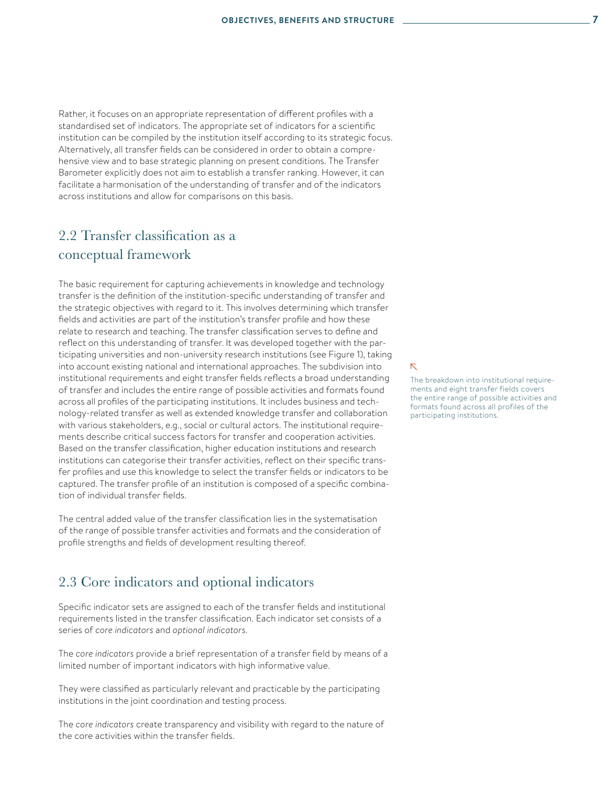Rather, it focuses on an appropriate representation of different profiles with a standardised set of indicators. The appropriate set of indicators for a scientific institution can be compiled by the institution itself according to its strategic focus. Alternatively, all transfer fields can be considered in order to obtain a comprehensive view and to base strategic planning on present conditions. The Transfer Barometer explicitly does not aim to establish a transfer ranking. However, it can facilitate a harmonisation of the understanding of transfer and of the indicators across institutions and allow for comparisons on this basis.

## 2.2 Transfer classification as a conceptual framework

The basic requirement for capturing achievements in knowledge and technology transfer is the definition of the institution-specific understanding of transfer and the strategic objectives with regard to it. This involves determining which transfer fields and activities are part of the institution's transfer profile and how these relate to research and teaching. The transfer classification serves to define and reflect on this understanding of transfer. It was developed together with the participating universities and non-university research institutions (see Figure 1), taking into account existing national and international approaches. The subdivision into institutional requirements and eight transfer fields reflects a broad understanding of transfer and includes the entire range of possible activities and formats found across all profiles of the participating institutions. It includes business and technology-related transfer as well as extended knowledge transfer and collaboration with various stakeholders, e.g., social or cultural actors. The institutional requirements describe critical success factors for transfer and cooperation activities. Based on the transfer classification, higher education institutions and research institutions can categorise their transfer activities, reflect on their specific transfer profiles and use this knowledge to select the transfer fields or indicators to be captured. The transfer profile of an institution is composed of a specific combination of individual transfer fields.

The central added value of the transfer classification lies in the systematisation of the range of possible transfer activities and formats and the consideration of profile strengths and fields of development resulting thereof.

### 2.3 Core indicators and optional indicators

Specific indicator sets are assigned to each of the transfer fields and institutional requirements listed in the transfer classification. Each indicator set consists of a series of *core indicators* and *optional indicators*.

The *core indicators* provide a brief representation of a transfer field by means of a limited number of important indicators with high informative value.

They were classified as particularly relevant and practicable by the participating institutions in the joint coordination and testing process.

The *core indicators* create transparency and visibility with regard to the nature of the core activities within the transfer fields.

 $\overline{\nabla}$ 

The breakdown into institutional requirements and eight transfer fields covers the entire range of possible activities and formats found across all profiles of the participating institutions.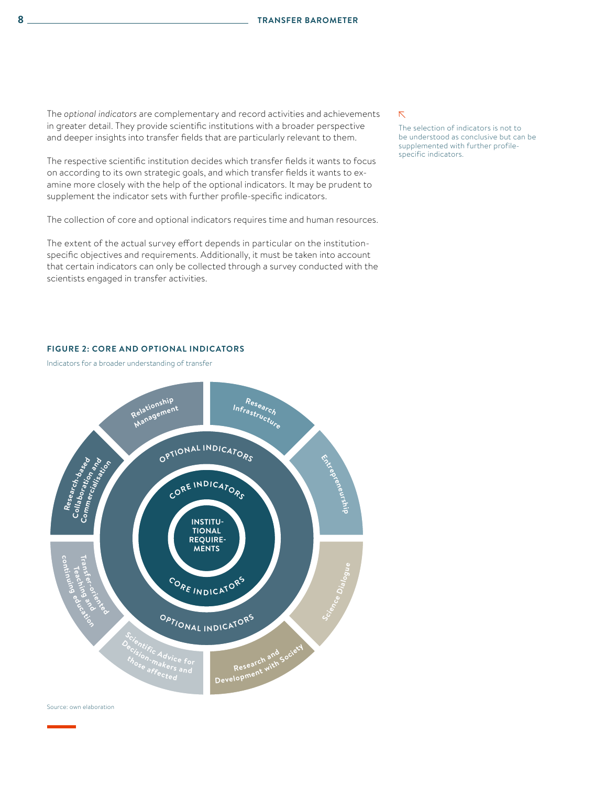The *optional indicators* are complementary and record activities and achievements in greater detail. They provide scientific institutions with a broader perspective and deeper insights into transfer fields that are particularly relevant to them.

The respective scientific institution decides which transfer fields it wants to focus on according to its own strategic goals, and which transfer fields it wants to examine more closely with the help of the optional indicators. It may be prudent to supplement the indicator sets with further profile-specific indicators.

The collection of core and optional indicators requires time and human resources.

The extent of the actual survey effort depends in particular on the institutionspecific objectives and requirements. Additionally, it must be taken into account that certain indicators can only be collected through a survey conducted with the scientists engaged in transfer activities.

#### $\bar{\nabla}$

The selection of indicators is not to be understood as conclusive but can be supplemented with further profilespecific indicators.

#### **FIGURE 2: CORE AND OPTIONAL INDICATORS**

Indicators for a broader understanding of transfer



Source: own elaboration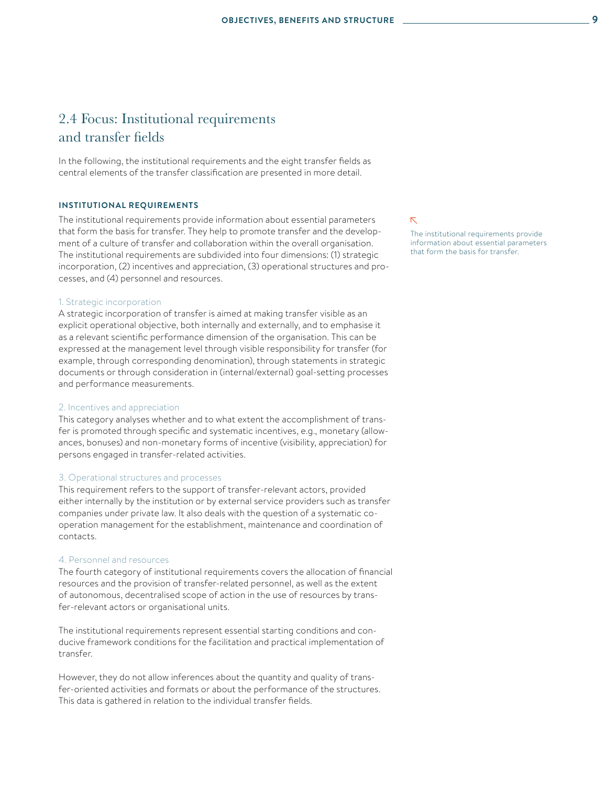## 2.4 Focus: Institutional requirements and transfer fields

In the following, the institutional requirements and the eight transfer fields as central elements of the transfer classification are presented in more detail.

#### **INSTITUTIONAL REQUIREMENTS**

The institutional requirements provide information about essential parameters that form the basis for transfer. They help to promote transfer and the development of a culture of transfer and collaboration within the overall organisation. The institutional requirements are subdivided into four dimensions: (1) strategic incorporation, (2) incentives and appreciation, (3) operational structures and processes, and (4) personnel and resources.

#### 1. Strategic incorporation

A strategic incorporation of transfer is aimed at making transfer visible as an explicit operational objective, both internally and externally, and to emphasise it as a relevant scientific performance dimension of the organisation. This can be expressed at the management level through visible responsibility for transfer (for example, through corresponding denomination), through statements in strategic documents or through consideration in (internal/external) goal-setting processes and performance measurements.

#### 2. Incentives and appreciation

This category analyses whether and to what extent the accomplishment of transfer is promoted through specific and systematic incentives, e.g., monetary (allowances, bonuses) and non-monetary forms of incentive (visibility, appreciation) for persons engaged in transfer-related activities.

#### 3. Operational structures and processes

This requirement refers to the support of transfer-relevant actors, provided either internally by the institution or by external service providers such as transfer companies under private law. It also deals with the question of a systematic cooperation management for the establishment, maintenance and coordination of contacts.

#### 4. Personnel and resources

The fourth category of institutional requirements covers the allocation of financial resources and the provision of transfer-related personnel, as well as the extent of autonomous, decentralised scope of action in the use of resources by transfer-relevant actors or organisational units.

The institutional requirements represent essential starting conditions and conducive framework conditions for the facilitation and practical implementation of transfer.

However, they do not allow inferences about the quantity and quality of transfer-oriented activities and formats or about the performance of the structures. This data is gathered in relation to the individual transfer fields.

 $\overline{\nabla}$ 

The institutional requirements provide information about essential parameters that form the basis for transfer.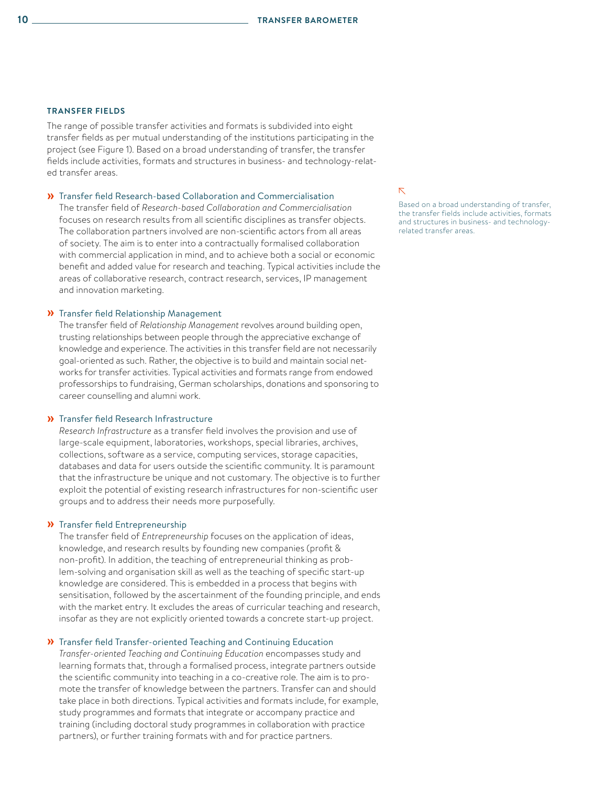#### **TRANSFER FIELDS**

The range of possible transfer activities and formats is subdivided into eight transfer fields as per mutual understanding of the institutions participating in the project (see Figure 1). Based on a broad understanding of transfer, the transfer fields include activities, formats and structures in business- and technology-related transfer areas.

#### » Transfer field Research-based Collaboration and Commercialisation

The transfer field of *Research-based Collaboration and Commercialisation* focuses on research results from all scientific disciplines as transfer objects. The collaboration partners involved are non-scientific actors from all areas of society. The aim is to enter into a contractually formalised collaboration with commercial application in mind, and to achieve both a social or economic benefit and added value for research and teaching. Typical activities include the areas of collaborative research, contract research, services, IP management and innovation marketing.

#### » Transfer field Relationship Management

The transfer field of *Relationship Management* revolves around building open, trusting relationships between people through the appreciative exchange of knowledge and experience. The activities in this transfer field are not necessarily goal-oriented as such. Rather, the objective is to build and maintain social networks for transfer activities. Typical activities and formats range from endowed professorships to fundraising, German scholarships, donations and sponsoring to career counselling and alumni work.

#### » Transfer field Research Infrastructure

*Research Infrastructure* as a transfer field involves the provision and use of large-scale equipment, laboratories, workshops, special libraries, archives, collections, software as a service, computing services, storage capacities, databases and data for users outside the scientific community. It is paramount that the infrastructure be unique and not customary. The objective is to further exploit the potential of existing research infrastructures for non-scientific user groups and to address their needs more purposefully.

#### » Transfer field Entrepreneurship

The transfer field of *Entrepreneurship* focuses on the application of ideas, knowledge, and research results by founding new companies (profit & non-profit). In addition, the teaching of entrepreneurial thinking as problem-solving and organisation skill as well as the teaching of specific start-up knowledge are considered. This is embedded in a process that begins with sensitisation, followed by the ascertainment of the founding principle, and ends with the market entry. It excludes the areas of curricular teaching and research, insofar as they are not explicitly oriented towards a concrete start-up project.

#### » Transfer field Transfer-oriented Teaching and Continuing Education

*Transfer-oriented Teaching and Continuing Education* encompasses study and learning formats that, through a formalised process, integrate partners outside the scientific community into teaching in a co-creative role. The aim is to promote the transfer of knowledge between the partners. Transfer can and should take place in both directions. Typical activities and formats include, for example, study programmes and formats that integrate or accompany practice and training (including doctoral study programmes in collaboration with practice partners), or further training formats with and for practice partners.

#### $\bar{\mathcal{N}}$

Based on a broad understanding of transfer, the transfer fields include activities, formats and structures in business- and technologyrelated transfer areas.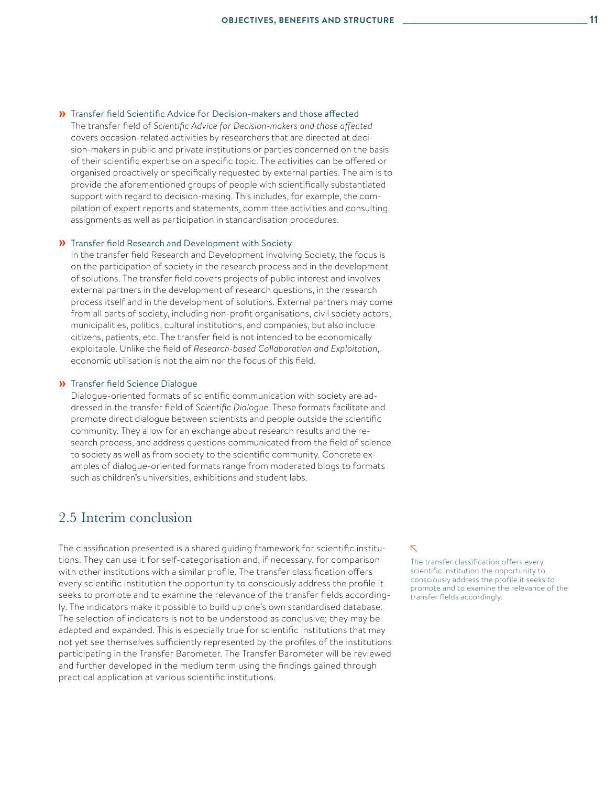#### » Transfer field Scientific Advice for Decision-makers and those affected

The transfer field of *Scientific Advice for Decision-makers and those affected* covers occasion-related activities by researchers that are directed at decision-makers in public and private institutions or parties concerned on the basis of their scientific expertise on a specific topic. The activities can be offered or organised proactively or specifically requested by external parties. The aim is to provide the aforementioned groups of people with scientifically substantiated support with regard to decision-making. This includes, for example, the compilation of expert reports and statements, committee activities and consulting assignments as well as participation in standardisation procedures.

#### » Transfer field Research and Development with Society

In the transfer field Research and Development Involving Society, the focus is on the participation of society in the research process and in the development of solutions. The transfer field covers projects of public interest and involves external partners in the development of research questions, in the research process itself and in the development of solutions. External partners may come from all parts of society, including non-profit organisations, civil society actors, municipalities, politics, cultural institutions, and companies, but also include citizens, patients, etc. The transfer field is not intended to be economically exploitable. Unlike the field of *Research-based Collaboration and Exploitation*, economic utilisation is not the aim nor the focus of this field.

#### » Transfer field Science Dialogue

Dialogue-oriented formats of scientific communication with society are addressed in the transfer field of *Scientific Dialogue*. These formats facilitate and promote direct dialogue between scientists and people outside the scientific community. They allow for an exchange about research results and the research process, and address questions communicated from the field of science to society as well as from society to the scientific community. Concrete examples of dialogue-oriented formats range from moderated blogs to formats such as children's universities, exhibitions and student labs.

### 2.5 Interim conclusion

The classification presented is a shared guiding framework for scientific institutions. They can use it for self-categorisation and, if necessary, for comparison with other institutions with a similar profile. The transfer classification offers every scientific institution the opportunity to consciously address the profile it seeks to promote and to examine the relevance of the transfer fields accordingly. The indicators make it possible to build up one's own standardised database. The selection of indicators is not to be understood as conclusive; they may be adapted and expanded. This is especially true for scientific institutions that may not yet see themselves sufficiently represented by the profiles of the institutions participating in the Transfer Barometer. The Transfer Barometer will be reviewed and further developed in the medium term using the findings gained through practical application at various scientific institutions.

#### $\overline{\mathsf{N}}$

The transfer classification offers every scientific institution the opportunity to consciously address the profile it seeks to promote and to examine the relevance of the transfer fields accordingly.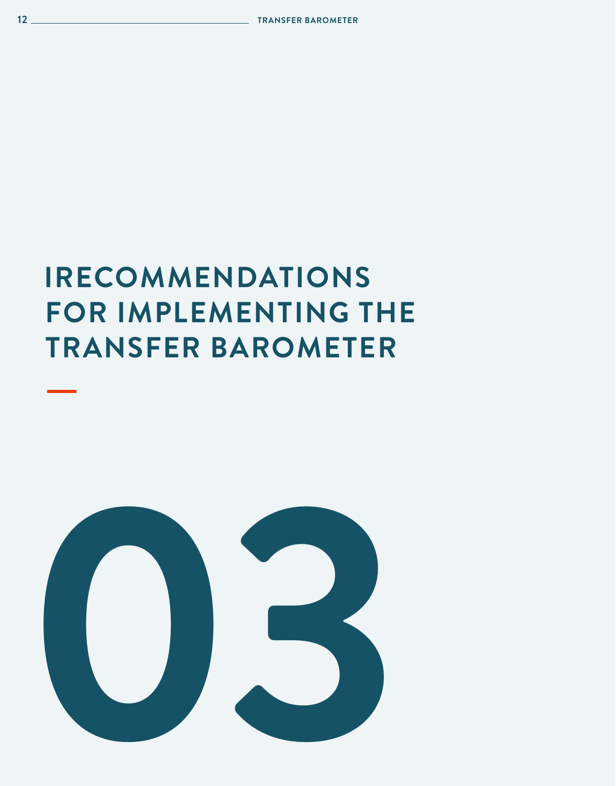

## **IRECOMMENDATIONS FOR IMPLEMENTING THE TRANSFER BAROMETER**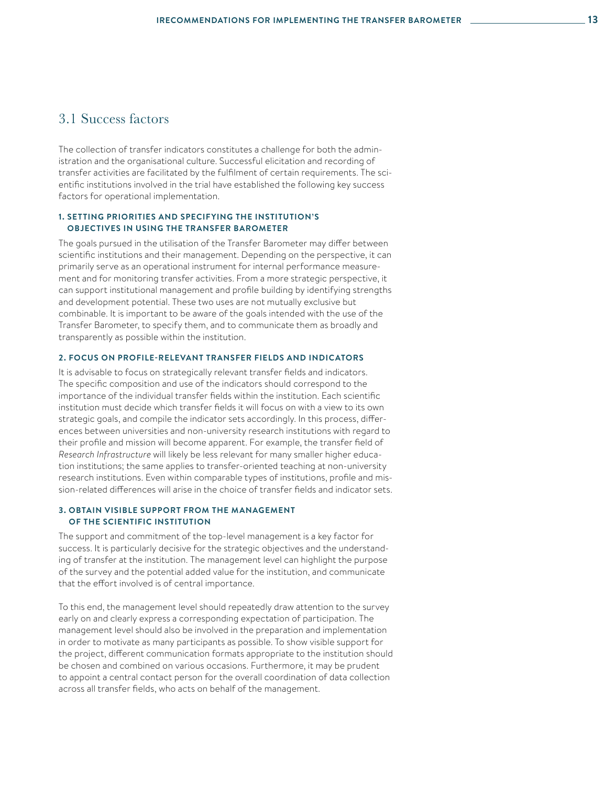### 3.1 Success factors

The collection of transfer indicators constitutes a challenge for both the administration and the organisational culture. Successful elicitation and recording of transfer activities are facilitated by the fulfilment of certain requirements. The scientific institutions involved in the trial have established the following key success factors for operational implementation.

#### **1. SETTING PRIORITIES AND SPECIFYING THE INSTITUTION'S OBJECTIVES IN USING THE TRANSFER BAROMETER**

The goals pursued in the utilisation of the Transfer Barometer may differ between scientific institutions and their management. Depending on the perspective, it can primarily serve as an operational instrument for internal performance measurement and for monitoring transfer activities. From a more strategic perspective, it can support institutional management and profile building by identifying strengths and development potential. These two uses are not mutually exclusive but combinable. It is important to be aware of the goals intended with the use of the Transfer Barometer, to specify them, and to communicate them as broadly and transparently as possible within the institution.

#### **2. FOCUS ON PROFILE-RELEVANT TRANSFER FIELDS AND INDICATORS**

It is advisable to focus on strategically relevant transfer fields and indicators. The specific composition and use of the indicators should correspond to the importance of the individual transfer fields within the institution. Each scientific institution must decide which transfer fields it will focus on with a view to its own strategic goals, and compile the indicator sets accordingly. In this process, differences between universities and non-university research institutions with regard to their profile and mission will become apparent. For example, the transfer field of *Research Infrastructure* will likely be less relevant for many smaller higher education institutions; the same applies to transfer-oriented teaching at non-university research institutions. Even within comparable types of institutions, profile and mission-related differences will arise in the choice of transfer fields and indicator sets.

#### **3. OBTAIN VISIBLE SUPPORT FROM THE MANAGEMENT OF THE SCIENTIFIC INSTITUTION**

The support and commitment of the top-level management is a key factor for success. It is particularly decisive for the strategic objectives and the understanding of transfer at the institution. The management level can highlight the purpose of the survey and the potential added value for the institution, and communicate that the effort involved is of central importance.

To this end, the management level should repeatedly draw attention to the survey early on and clearly express a corresponding expectation of participation. The management level should also be involved in the preparation and implementation in order to motivate as many participants as possible. To show visible support for the project, different communication formats appropriate to the institution should be chosen and combined on various occasions. Furthermore, it may be prudent to appoint a central contact person for the overall coordination of data collection across all transfer fields, who acts on behalf of the management.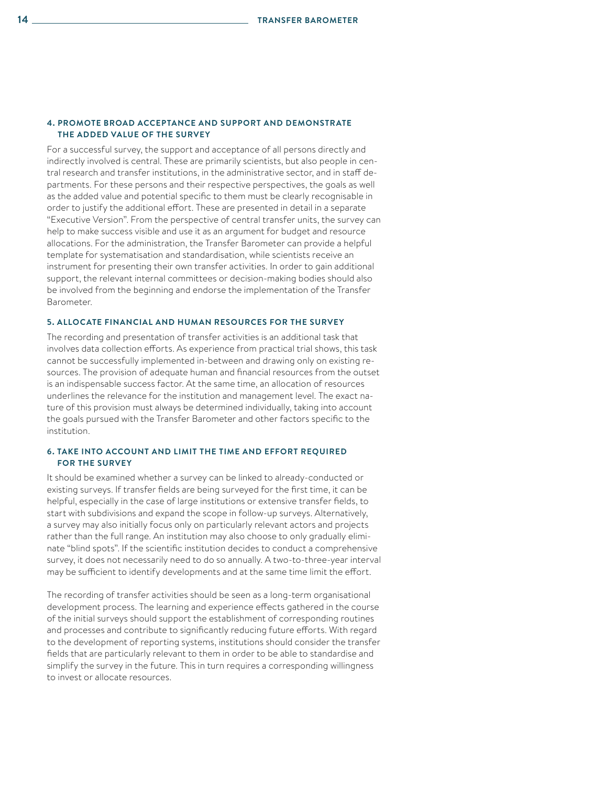#### **4. PROMOTE BROAD ACCEPTANCE AND SUPPORT AND DEMONSTRATE THE ADDED VALUE OF THE SURVEY**

For a successful survey, the support and acceptance of all persons directly and indirectly involved is central. These are primarily scientists, but also people in central research and transfer institutions, in the administrative sector, and in staff departments. For these persons and their respective perspectives, the goals as well as the added value and potential specific to them must be clearly recognisable in order to justify the additional effort. These are presented in detail in a separate "Executive Version". From the perspective of central transfer units, the survey can help to make success visible and use it as an argument for budget and resource allocations. For the administration, the Transfer Barometer can provide a helpful template for systematisation and standardisation, while scientists receive an instrument for presenting their own transfer activities. In order to gain additional support, the relevant internal committees or decision-making bodies should also be involved from the beginning and endorse the implementation of the Transfer Barometer.

#### **5. ALLOCATE FINANCIAL AND HUMAN RESOURCES FOR THE SURVEY**

The recording and presentation of transfer activities is an additional task that involves data collection efforts. As experience from practical trial shows, this task cannot be successfully implemented in-between and drawing only on existing resources. The provision of adequate human and financial resources from the outset is an indispensable success factor. At the same time, an allocation of resources underlines the relevance for the institution and management level. The exact nature of this provision must always be determined individually, taking into account the goals pursued with the Transfer Barometer and other factors specific to the institution.

#### **6. TAKE INTO ACCOUNT AND LIMIT THE TIME AND EFFORT REQUIRED FOR THE SURVEY**

It should be examined whether a survey can be linked to already-conducted or existing surveys. If transfer fields are being surveyed for the first time, it can be helpful, especially in the case of large institutions or extensive transfer fields, to start with subdivisions and expand the scope in follow-up surveys. Alternatively, a survey may also initially focus only on particularly relevant actors and projects rather than the full range. An institution may also choose to only gradually eliminate "blind spots". If the scientific institution decides to conduct a comprehensive survey, it does not necessarily need to do so annually. A two-to-three-year interval may be sufficient to identify developments and at the same time limit the effort.

The recording of transfer activities should be seen as a long-term organisational development process. The learning and experience effects gathered in the course of the initial surveys should support the establishment of corresponding routines and processes and contribute to significantly reducing future efforts. With regard to the development of reporting systems, institutions should consider the transfer fields that are particularly relevant to them in order to be able to standardise and simplify the survey in the future. This in turn requires a corresponding willingness to invest or allocate resources.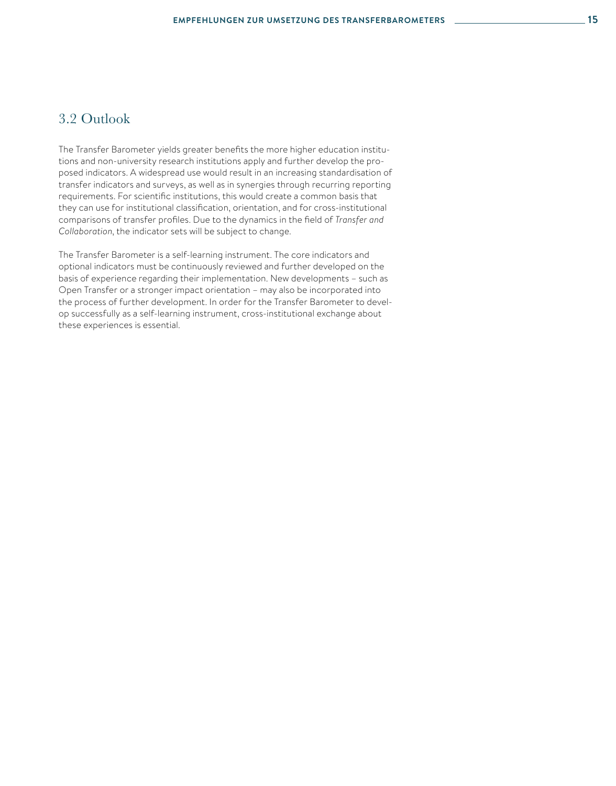### 3.2 Outlook

The Transfer Barometer yields greater benefits the more higher education institutions and non-university research institutions apply and further develop the proposed indicators. A widespread use would result in an increasing standardisation of transfer indicators and surveys, as well as in synergies through recurring reporting requirements. For scientific institutions, this would create a common basis that they can use for institutional classification, orientation, and for cross-institutional comparisons of transfer profiles. Due to the dynamics in the field of *Transfer and Collaboration*, the indicator sets will be subject to change.

The Transfer Barometer is a self-learning instrument. The core indicators and optional indicators must be continuously reviewed and further developed on the basis of experience regarding their implementation. New developments – such as Open Transfer or a stronger impact orientation – may also be incorporated into the process of further development. In order for the Transfer Barometer to develop successfully as a self-learning instrument, cross-institutional exchange about these experiences is essential.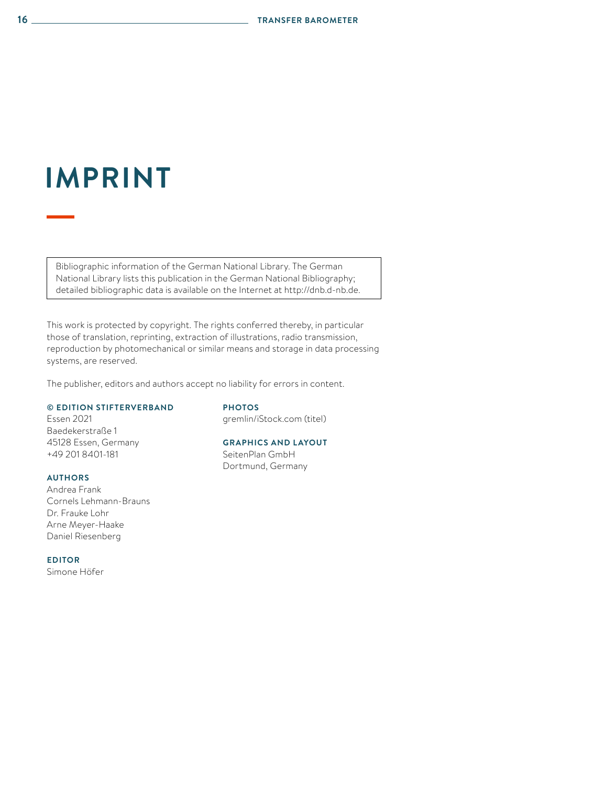## **IMPRINT**

Bibliographic information of the German National Library. The German National Library lists this publication in the German National Bibliography; detailed bibliographic data is available on the Internet at http://dnb.d-nb.de.

This work is protected by copyright. The rights conferred thereby, in particular those of translation, reprinting, extraction of illustrations, radio transmission, reproduction by photomechanical or similar means and storage in data processing systems, are reserved.

The publisher, editors and authors accept no liability for errors in content.

#### **© EDITION STIFTERVERBAND**

Essen 2021 Baedekerstraße 1 45128 Essen, Germany +49 201 8401-181

#### **AUTHORS**

Andrea Frank Cornels Lehmann-Brauns Dr. Frauke Lohr Arne Meyer-Haake Daniel Riesenberg

**EDITOR** Simone Höfer

#### **PHOTOS**

gremlin/iStock.com (titel)

### **GRAPHICS AND LAYOUT**

SeitenPlan GmbH Dortmund, Germany